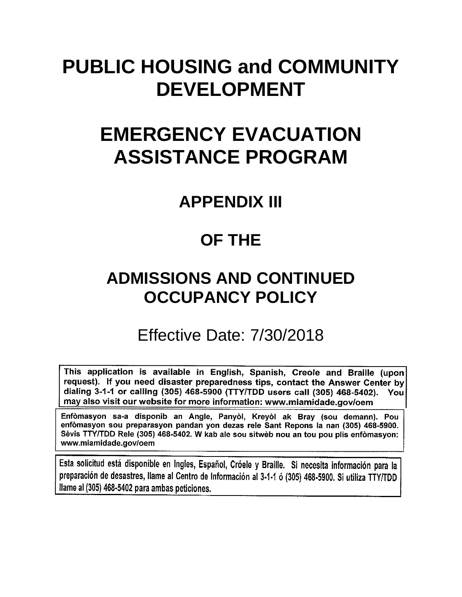# **PUBLIC HOUSING and COMMUNITY DEVELOPMENT**

# **EMERGENCY EVACUATION ASSISTANCE PROGRAM**

## **APPENDIX III**

## **OF THE**

## **ADMISSIONS AND CONTINUED OCCUPANCY POLICY**

## Effective Date: 7/30/2018

This application is available in English, Spanish, Creole and Braille (upon request). If you need disaster preparedness tips, contact the Answer Center by dialing 3-1-1 or calling (305) 468-5900 (TTY/TDD users call (305) 468-5402). You may also visit our website for more information: www.miamidade.gov/oem

Enfòmasyon sa-a disponib an Angle, Panyòl, Kreyòl ak Bray (sou demann). Pou enfòmasyon sou preparasyon pandan yon dezas rele Sant Repons la nan (305) 468-5900. Sèvis TTY/TDD Rele (305) 468-5402. W kab ale sou sitwèb nou an tou pou plis enfòmasyon: www.miamidade.gov/oem

Esta solicitud está disponible en Ingles, Español, Cróele y Braille. Si necesita información para la preparación de desastres, llame al Centro de Información al 3-1-1 ó (305) 468-5900. Si utiliza TTY/TDD Ilame al (305) 468-5402 para ambas peticiones.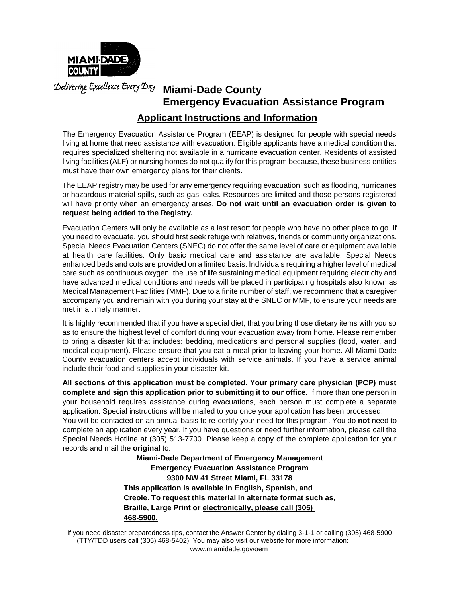

**Miami-Dade County Emergency Evacuation Assistance Program Applicant Instructions and Information**

The Emergency Evacuation Assistance Program (EEAP) is designed for people with special needs living at home that need assistance with evacuation. Eligible applicants have a medical condition that requires specialized sheltering not available in a hurricane evacuation center. Residents of assisted living facilities (ALF) or nursing homes do not qualify for this program because, these business entities must have their own emergency plans for their clients.

The EEAP registry may be used for any emergency requiring evacuation, such as flooding, hurricanes or hazardous material spills, such as gas leaks. Resources are limited and those persons registered will have priority when an emergency arises. **Do not wait until an evacuation order is given to request being added to the Registry.**

Evacuation Centers will only be available as a last resort for people who have no other place to go. If you need to evacuate, you should first seek refuge with relatives, friends or community organizations. Special Needs Evacuation Centers (SNEC) do not offer the same level of care or equipment available at health care facilities. Only basic medical care and assistance are available. Special Needs enhanced beds and cots are provided on a limited basis. Individuals requiring a higher level of medical care such as continuous oxygen, the use of life sustaining medical equipment requiring electricity and have advanced medical conditions and needs will be placed in participating hospitals also known as Medical Management Facilities (MMF). Due to a finite number of staff, we recommend that a caregiver accompany you and remain with you during your stay at the SNEC or MMF, to ensure your needs are met in a timely manner.

It is highly recommended that if you have a special diet, that you bring those dietary items with you so as to ensure the highest level of comfort during your evacuation away from home. Please remember to bring a disaster kit that includes: bedding, medications and personal supplies (food, water, and medical equipment). Please ensure that you eat a meal prior to leaving your home. All Miami-Dade County evacuation centers accept individuals with service animals. If you have a service animal include their food and supplies in your disaster kit.

**All sections of this application must be completed. Your primary care physician (PCP) must complete and sign this application prior to submitting it to our office.** If more than one person in your household requires assistance during evacuations, each person must complete a separate application. Special instructions will be mailed to you once your application has been processed. You will be contacted on an annual basis to re-certify your need for this program. You do **not** need to complete an application every year. If you have questions or need further information, please call the Special Needs Hotline at (305) 513-7700. Please keep a copy of the complete application for your records and mail the **original** to:

> **Miami-Dade Department of Emergency Management Emergency Evacuation Assistance Program 9300 NW 41 Street Miami, FL 33178 This application is available in English, Spanish, and Creole. To request this material in alternate format such as, Braille, Large Print or electronically, please call (305) 468-5900.**

If you need disaster preparedness tips, contact the Answer Center by dialing 3-1-1 or calling (305) 468-5900 (TTY/TDD users call (305) 468-5402). You may also visit our website for more information: [www.miamidade.gov/oem](http://www.miamidade.gov/oem)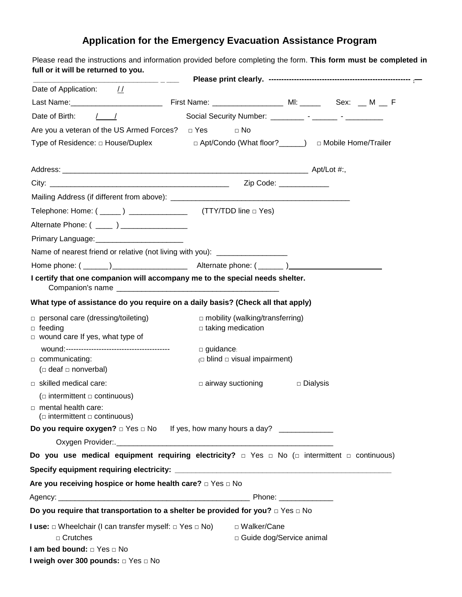### **Application for the Emergency Evacuation Assistance Program**

| Date of Application: //                                                                                                                                                                                                                                                                                                                                                                   |                                                                    |            |  |
|-------------------------------------------------------------------------------------------------------------------------------------------------------------------------------------------------------------------------------------------------------------------------------------------------------------------------------------------------------------------------------------------|--------------------------------------------------------------------|------------|--|
|                                                                                                                                                                                                                                                                                                                                                                                           |                                                                    |            |  |
| Date of Birth: / /                                                                                                                                                                                                                                                                                                                                                                        |                                                                    |            |  |
| Are you a veteran of the US Armed Forces? $\Box$ Yes $\Box$ No                                                                                                                                                                                                                                                                                                                            |                                                                    |            |  |
| Type of Residence: □ House/Duplex □ △ Apt/Condo (What floor? △ □ Mobile Home/Trailer                                                                                                                                                                                                                                                                                                      |                                                                    |            |  |
|                                                                                                                                                                                                                                                                                                                                                                                           |                                                                    |            |  |
|                                                                                                                                                                                                                                                                                                                                                                                           |                                                                    |            |  |
|                                                                                                                                                                                                                                                                                                                                                                                           |                                                                    |            |  |
|                                                                                                                                                                                                                                                                                                                                                                                           |                                                                    |            |  |
| Alternate Phone: ( _____ ) ___________________                                                                                                                                                                                                                                                                                                                                            |                                                                    |            |  |
| Primary Language: Primary Language:                                                                                                                                                                                                                                                                                                                                                       |                                                                    |            |  |
| Name of nearest friend or relative (not living with you): ______________________                                                                                                                                                                                                                                                                                                          |                                                                    |            |  |
|                                                                                                                                                                                                                                                                                                                                                                                           |                                                                    |            |  |
| I certify that one companion will accompany me to the special needs shelter.                                                                                                                                                                                                                                                                                                              |                                                                    |            |  |
| What type of assistance do you require on a daily basis? (Check all that apply)                                                                                                                                                                                                                                                                                                           |                                                                    |            |  |
| $\Box$ personal care (dressing/toileting)<br>$\Box$ feeding<br>$\Box$ wound care If yes, what type of                                                                                                                                                                                                                                                                                     | $\Box$ mobility (walking/transferring)<br>$\Box$ taking medication |            |  |
|                                                                                                                                                                                                                                                                                                                                                                                           | $\Box$ guidance:                                                   |            |  |
| communicating:<br>( $\Box$ deaf $\Box$ nonverbal)                                                                                                                                                                                                                                                                                                                                         | $\Box$ blind $\Box$ visual impairment)                             |            |  |
| $\Box$ skilled medical care:                                                                                                                                                                                                                                                                                                                                                              | $\Box$ airway suctioning                                           | □ Dialysis |  |
| ( $\Box$ intermittent $\Box$ continuous)                                                                                                                                                                                                                                                                                                                                                  |                                                                    |            |  |
| $\Box$ mental health care:                                                                                                                                                                                                                                                                                                                                                                |                                                                    |            |  |
| ( $\Box$ intermittent $\Box$ continuous)                                                                                                                                                                                                                                                                                                                                                  |                                                                    |            |  |
|                                                                                                                                                                                                                                                                                                                                                                                           |                                                                    |            |  |
|                                                                                                                                                                                                                                                                                                                                                                                           |                                                                    |            |  |
|                                                                                                                                                                                                                                                                                                                                                                                           |                                                                    |            |  |
|                                                                                                                                                                                                                                                                                                                                                                                           |                                                                    |            |  |
|                                                                                                                                                                                                                                                                                                                                                                                           |                                                                    |            |  |
|                                                                                                                                                                                                                                                                                                                                                                                           |                                                                    |            |  |
|                                                                                                                                                                                                                                                                                                                                                                                           |                                                                    |            |  |
| Do you use medical equipment requiring electricity? $\Box$ Yes $\Box$ No ( $\Box$ intermittent $\Box$ continuous)<br>Are you receiving hospice or home health care? $\Box$ Yes $\Box$ No<br>Do you require that transportation to a shelter be provided for you? $\Box$ Yes $\Box$ No<br><b>I use:</b> $\Box$ Wheelchair (I can transfer myself: $\Box$ Yes $\Box$ No) $\Box$ Walker/Cane |                                                                    |            |  |
| $\Box$ Crutches<br>I am bed bound: $\Box$ Yes $\Box$ No                                                                                                                                                                                                                                                                                                                                   | □ Guide dog/Service animal                                         |            |  |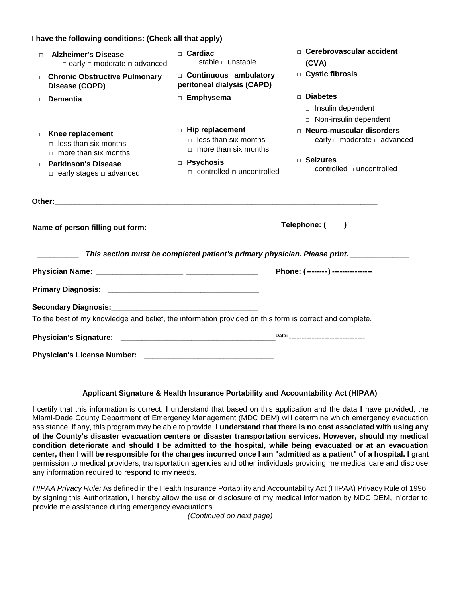#### **I have the following conditions: (Check all that apply)**

| <b>Alzheimer's Disease</b><br>$\Box$<br>$\Box$ early $\Box$ moderate $\Box$ advanced  | $\Box$ Cardiac<br>$\Box$ stable $\Box$ unstable                                                        | $\Box$ Cerebrovascular accident<br>(CVA)                                   |
|---------------------------------------------------------------------------------------|--------------------------------------------------------------------------------------------------------|----------------------------------------------------------------------------|
| □ Chronic Obstructive Pulmonary<br>Disease (COPD)                                     | □ Continuous ambulatory<br>peritoneal dialysis (CAPD)                                                  | □ Cystic fibrosis                                                          |
| <b>Dementia</b><br>$\Box$                                                             | $\Box$ Emphysema                                                                                       | $\Box$ Diabetes<br>$\Box$ Insulin dependent<br>□ Non-insulin dependent     |
| $\Box$ Knee replacement<br>$\Box$ less than six months<br>$\Box$ more than six months | $\Box$ Hip replacement<br>$\Box$ less than six months<br>$\Box$ more than six months                   | □ Neuro-muscular disorders<br>$\Box$ early $\Box$ moderate $\Box$ advanced |
| □ Parkinson's Disease<br>$\Box$ early stages $\Box$ advanced                          | <b>D</b> Psychosis<br>$\Box$ controlled $\Box$ uncontrolled                                            | □ Seizures<br>$\Box$ controlled $\Box$ uncontrolled                        |
|                                                                                       |                                                                                                        |                                                                            |
| Name of person filling out form:                                                      |                                                                                                        | Telephone: (<br>$\begin{array}{c} \hline \end{array}$                      |
|                                                                                       | This section must be completed patient's primary physician. Please print. _____________                |                                                                            |
|                                                                                       |                                                                                                        | Phone: (--------) ----------------                                         |
|                                                                                       |                                                                                                        |                                                                            |
|                                                                                       |                                                                                                        |                                                                            |
|                                                                                       | To the best of my knowledge and belief, the information provided on this form is correct and complete. |                                                                            |
|                                                                                       |                                                                                                        | Date: _______________________________                                      |
| <b>Physician's License Number:</b>                                                    |                                                                                                        |                                                                            |

#### **Applicant Signature & Health Insurance Portability and Accountability Act (HIPAA)**

I certify that this information is correct. **I** understand that based on this application and the data **I** have provided, the Miami-Dade County Department of Emergency Management (MDC DEM) will determine which emergency evacuation assistance, if any, this program may be able to provide. **I understand that there is no cost associated with using any of the County's disaster evacuation centers or disaster transportation services. However, should my medical condition deteriorate and should I be admitted to the hospital, while being evacuated or at an evacuation**  center, then I will be responsible for the charges incurred once I am "admitted as a patient" of a hospital. I grant permission to medical providers, transportation agencies and other individuals providing me medical care and disclose any information required to respond to my needs.

*HIPAA Privacy Rule:* As defined in the Health Insurance Portability and Accountability Act (HIPAA) Privacy Rule of 1996, by signing this Authorization, **I** hereby allow the use or disclosure of my medical information by MDC DEM, in'order to provide me assistance during emergency evacuations.

*(Continued on next page)*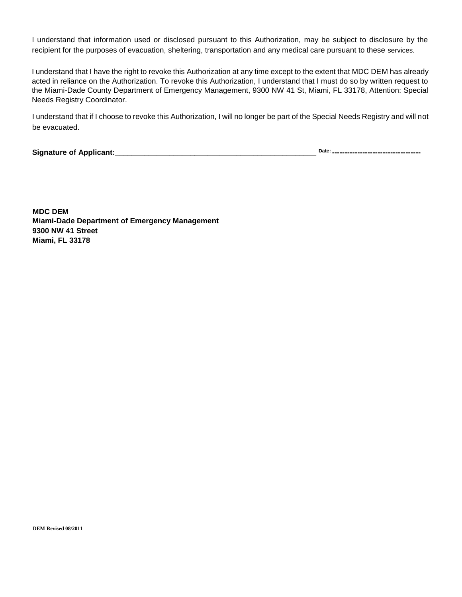I understand that information used or disclosed pursuant to this Authorization, may be subject to disclosure by the recipient for the purposes of evacuation, sheltering, transportation and any medical care pursuant to these services.

I understand that I have the right to revoke this Authorization at any time except to the extent that MDC DEM has already acted in reliance on the Authorization. To revoke this Authorization, I understand that I must do so by written request to the Miami-Dade County Department of Emergency Management, 9300 NW 41 St, Miami, FL 33178, Attention: Special Needs Registry Coordinator.

I understand that if I choose to revoke this Authorization, I will no longer be part of the Special Needs Registry and will not be evacuated.

**Signature of Applicant:\_\_\_\_\_\_\_\_\_\_\_\_\_\_\_\_\_\_\_\_\_\_\_\_\_\_\_\_\_\_\_\_\_\_\_\_\_\_\_\_\_\_\_\_\_\_\_\_ Date:**

Date: \_\_\_\_\_\_\_\_\_\_\_\_\_\_\_\_\_\_\_\_\_\_\_\_\_\_\_\_\_\_\_\_\_\_\_

**MDC DEM Miami-Dade Department of Emergency Management 9300 NW 41 Street Miami, FL 33178**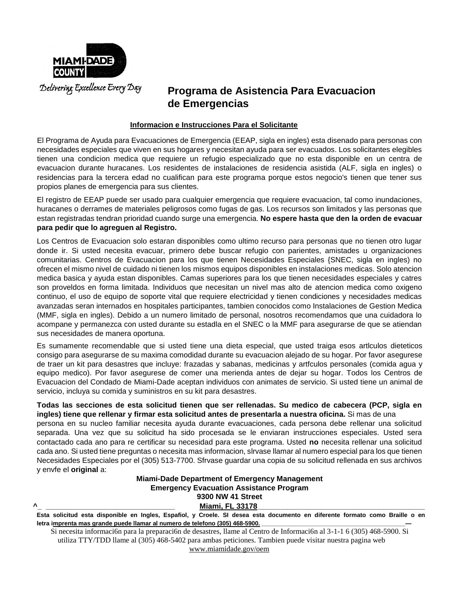

### **Programa de Asistencia Para Evacuacion de Emergencias**

#### **Informacion e Instrucciones Para el Solicitante**

El Programa de Ayuda para Evacuaciones de Emergencia (EEAP, sigla en ingles) esta disenado para personas con necesidades especiales que viven en sus hogares y necesitan ayuda para ser evacuados. Los solicitantes elegibles tienen una condicion medica que requiere un refugio especializado que no esta disponible en un centra de evacuacion durante huracanes. Los residentes de instalaciones de residencia asistida (ALF, sigla en ingles) o residencias para la tercera edad no cualifican para este programa porque estos negocio's tienen que tener sus propios planes de emergencia para sus clientes.

El registro de EEAP puede ser usado para cualquier emergencia que requiere evacuacion, tal como inundaciones, huracanes o derrames de materiales peligrosos como fugas de gas. Los recursos son limitados y las personas que estan registradas tendran prioridad cuando surge una emergencia. **No espere hasta que den la orden de evacuar para pedir que lo agreguen al Registro.**

Los Centros de Evacuacion solo estaran disponibles como ultimo recurso para personas que no tienen otro lugar donde ir. Si usted necesita evacuar, primero debe buscar refugio con parientes, amistades u organizaciones comunitarias. Centros de Evacuacion para los que tienen Necesidades Especiales {SNEC, sigla en ingles) no ofrecen el mismo nivel de cuidado ni tienen los mismos equipos disponibles en instalaciones medicas. Solo atencion medica basica y ayuda estan disponibles. Camas superiores para los que tienen necesidades especiales y catres son proveldos en forma limitada. Individuos que necesitan un nivel mas alto de atencion medica como oxigeno continuo, el uso de equipo de soporte vital que requiere electricidad y tienen condiciones y necesidades medicas avanzadas seran internados en hospitales participantes, tambien conocidos como Instalaciones de Gestion Medica (MMF, sigla en ingles). Debido a un numero limitado de personal, nosotros recomendamos que una cuidadora lo acompane y permanezca con usted durante su estadla en el SNEC o la MMF para asegurarse de que se atiendan sus necesidades de manera oportuna.

Es sumamente recomendable que si usted tiene una dieta especial, que usted traiga esos artlculos dieteticos consigo para asegurarse de su maxima comodidad durante su evacuacion alejado de su hogar. Por favor asegurese de traer un kit para desastres que incluye: frazadas y sabanas, medicinas y artfculos personales (comida agua y equipo medico). Por favor asegurese de comer una merienda antes de dejar su hogar. Todos los Centros de Evacuacion del Condado de Miami-Dade aceptan individuos con animates de servicio. Si usted tiene un animal de servicio, incluya su comida y suministros en su kit para desastres.

**Todas las secciones de esta solicitud tienen que ser rellenadas. Su medico de cabecera (PCP, sigla en ingles) tiene que rellenar y firmar esta solicitud antes de presentarla a nuestra oficina.** Si mas de una

persona en su nucleo familiar necesita ayuda durante evacuaciones, cada persona debe rellenar una solicitud separada. Una vez que su solicitud ha sido procesada se le enviaran instrucciones especiales. Usted sera contactado cada ano para re certificar su necesidad para este programa. Usted **no** necesita rellenar una solicitud cada ano. Si usted tiene preguntas o necesita mas informacion, slrvase llamar al numero especial para los que tienen Necesidades Especiales por el (305) 513-7700. Sfrvase guardar una copia de su solicitud rellenada en sus archivos y envfe el **original** a:

#### **Miami-Dade Department of Emergency Management Emergency Evacuation Assistance Program 9300 NW 41 Street ^\_ \_\_\_\_\_\_\_\_\_\_\_\_\_\_\_\_\_\_\_\_\_\_\_\_\_\_\_\_\_\_\_ Miami, FL 33178\_\_\_\_\_\_\_\_\_\_\_\_\_\_\_\_\_\_\_\_\_\_\_\_\_\_\_\_\_\_\_\_\_\_\_\_\_\_\_\_**

**Esta solicitud esta disponible en Ingles, Espafiol, y Croele. SI desea esta documento en diferente formato como Braille o en** letra imprenta mas grande puede llamar al numero de telefono (305) 468-5900.

Si necesita informaci6n para la preparaci6n de desastres, llame al Centro de Informaci6n al 3-1-1 6 (305) 468-5900. Si utiliza TTY/TDD llame al (305) 468-5402 para ambas peticiones. Tambien puede visitar nuestra pagina web [www.miamidade.gov/oem](http://www.miamidade.gov/oem)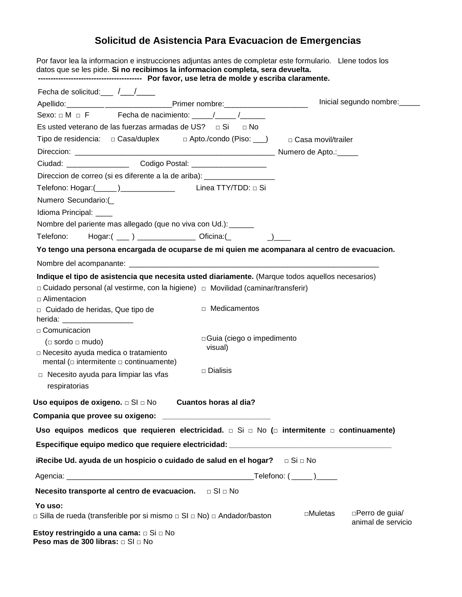## **Solicitud de Asistencia Para Evacuacion de Emergencias**

| Por favor lea la informacion e instrucciones adjuntas antes de completar este formulario. Llene todos los<br>datos que se les pide. Si no recibimos la informacion completa, sera devuelta.                                                                                                          |                                                   |
|------------------------------------------------------------------------------------------------------------------------------------------------------------------------------------------------------------------------------------------------------------------------------------------------------|---------------------------------------------------|
| Fecha de solicitud: $\frac{1}{\sqrt{1-\frac{1}{2}}}\frac{1}{\sqrt{1-\frac{1}{2}}}}$                                                                                                                                                                                                                  |                                                   |
|                                                                                                                                                                                                                                                                                                      | Inicial segundo nombre:                           |
| Sexo: $\Box$ M $\Box$ F $\Box$ Fecha de nacimiento: $\Box$ / / /                                                                                                                                                                                                                                     |                                                   |
| Es usted veterano de las fuerzas armadas de US? $\Box$ Si $\Box$ No                                                                                                                                                                                                                                  |                                                   |
| Tipo de residencia: □ Casa/duplex □ Apto./condo (Piso: ___) □ Casa movil/trailer                                                                                                                                                                                                                     |                                                   |
|                                                                                                                                                                                                                                                                                                      |                                                   |
| Ciudad: __________________________Codigo Postal: _______________________________                                                                                                                                                                                                                     |                                                   |
| Direccion de correo (si es diferente a la de ariba): ___________________________                                                                                                                                                                                                                     |                                                   |
|                                                                                                                                                                                                                                                                                                      |                                                   |
| Numero Secundario:(                                                                                                                                                                                                                                                                                  |                                                   |
| Idioma Principal: ____                                                                                                                                                                                                                                                                               |                                                   |
| Nombre del pariente mas allegado (que no viva con Ud.): ______                                                                                                                                                                                                                                       |                                                   |
| Telefono: Hogar:( ___ ) _______________ Oficina:(_ _ _ _ _ ) ____                                                                                                                                                                                                                                    |                                                   |
| Yo tengo una persona encargada de ocuparse de mi quien me acompanara al centro de evacuacion.                                                                                                                                                                                                        |                                                   |
|                                                                                                                                                                                                                                                                                                      |                                                   |
| Indique el tipo de asistencia que necesita usted diariamente. (Marque todos aquellos necesarios)<br>□ Cuidado personal (al vestirme, con la higiene) □ Movilidad (caminar/transferir)<br>$\Box$ Alimentacion<br>□ Medicamentos<br>□ Cuidado de heridas, Que tipo de<br>herida: _____________________ |                                                   |
| $\Box$ Comunicacion<br>□ Guia (ciego o impedimento                                                                                                                                                                                                                                                   |                                                   |
| ( $\Box$ sordo $\Box$ mudo)<br>visual)<br>□ Necesito ayuda medica o tratamiento                                                                                                                                                                                                                      |                                                   |
| mental ( $\Box$ intermitente $\Box$ continuamente)                                                                                                                                                                                                                                                   |                                                   |
| $\square$ Dialisis<br>$\Box$ Necesito ayuda para limpiar las vfas<br>respiratorias                                                                                                                                                                                                                   |                                                   |
| Uso equipos de oxigeno. $\Box$ SI $\Box$ No $\Box$ Cuantos horas al dia?                                                                                                                                                                                                                             |                                                   |
| Compania que provee su oxigeno: ______________________________                                                                                                                                                                                                                                       |                                                   |
| Uso equipos medicos que requieren electricidad. $\Box$ Si $\Box$ No ( $\Box$ intermitente $\Box$ continuamente)                                                                                                                                                                                      |                                                   |
| Especifique equipo medico que requiere electricidad: ___________________________                                                                                                                                                                                                                     |                                                   |
|                                                                                                                                                                                                                                                                                                      |                                                   |
|                                                                                                                                                                                                                                                                                                      |                                                   |
| Necesito transporte al centro de evacuacion. $\Box$ SI $\Box$ No                                                                                                                                                                                                                                     |                                                   |
| Yo uso:                                                                                                                                                                                                                                                                                              |                                                   |
| □ Silla de rueda (transferible por si mismo □ SI □ No) □ Andador/baston                                                                                                                                                                                                                              | □Perro de guia/<br>□Muletas<br>animal de servicio |
| Estoy restringido a una cama: □ Si □ No<br>Peso mas de 300 libras: □ SI □ No                                                                                                                                                                                                                         |                                                   |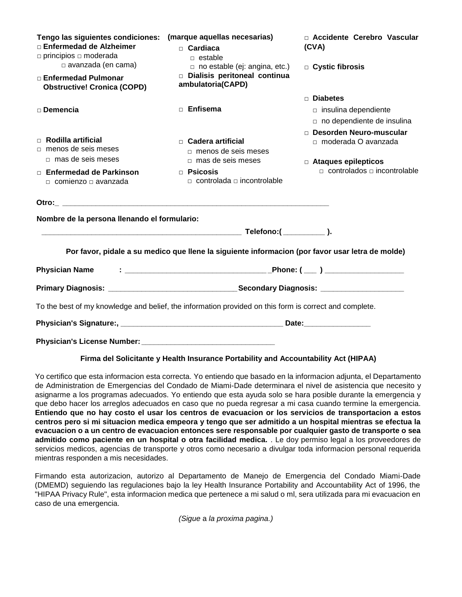| Tengo las siguientes condiciones:<br>□ Enfermedad de Alzheimer<br>$\Box$ principios $\Box$ moderada<br>$\Box$ avanzada (en cama)<br>□ Enfermedad Pulmonar | (marque aquellas necesarias)<br>$\Box$ Cardiaca<br>$\Box$ estable<br>$\Box$ no estable (ej: angina, etc.)<br>Dialisis peritoneal continua<br>ambulatoria(CAPD) | □ Accidente Cerebro Vascular<br>(CVA)<br>□ Cystic fibrosis |  |  |
|-----------------------------------------------------------------------------------------------------------------------------------------------------------|----------------------------------------------------------------------------------------------------------------------------------------------------------------|------------------------------------------------------------|--|--|
| <b>Obstructive! Cronica (COPD)</b>                                                                                                                        |                                                                                                                                                                |                                                            |  |  |
|                                                                                                                                                           |                                                                                                                                                                | $\Box$ Diabetes                                            |  |  |
| $\square$ Demencia                                                                                                                                        | <b>Enfisema</b>                                                                                                                                                | $\Box$ insulina dependiente<br>no dependiente de insulina  |  |  |
|                                                                                                                                                           |                                                                                                                                                                | □ Desorden Neuro-muscular                                  |  |  |
| $\Box$ Rodilla artificial<br>$\Box$ menos de seis meses<br>□ mas de seis meses                                                                            | $\Box$ Cadera artificial<br>$\Box$ menos de seis meses<br>$\Box$ mas de seis meses                                                                             | □ moderada O avanzada<br>$\Box$ Ataques epilepticos        |  |  |
| $\Box$ Enfermedad de Parkinson<br>$\Box$ comienzo $\Box$ avanzada                                                                                         | $\Box$ Psicosis<br>$\Box$ controlada $\Box$ incontrolable                                                                                                      | $\Box$ controlados $\Box$ incontrolable                    |  |  |
|                                                                                                                                                           |                                                                                                                                                                |                                                            |  |  |
| Nombre de la persona llenando el formulario:                                                                                                              |                                                                                                                                                                |                                                            |  |  |
|                                                                                                                                                           |                                                                                                                                                                |                                                            |  |  |
|                                                                                                                                                           | Por favor, pidale a su medico que llene la siguiente informacion (por favor usar letra de molde)                                                               |                                                            |  |  |
| <b>Physician Name</b>                                                                                                                                     |                                                                                                                                                                |                                                            |  |  |
|                                                                                                                                                           |                                                                                                                                                                |                                                            |  |  |
|                                                                                                                                                           | To the best of my knowledge and belief, the information provided on this form is correct and complete.                                                         |                                                            |  |  |
|                                                                                                                                                           |                                                                                                                                                                |                                                            |  |  |
| <b>Physician's License Number:</b>                                                                                                                        |                                                                                                                                                                |                                                            |  |  |

#### **Firma del Solicitante y Health Insurance Portability and Accountability Act (HIPAA)**

Yo certifico que esta informacion esta correcta. Yo entiendo que basado en la informacion adjunta, el Departamento de Administration de Emergencias del Condado de Miami-Dade determinara el nivel de asistencia que necesito y asignarme a los programas adecuados. Yo entiendo que esta ayuda solo se hara posible durante la emergencia y que debo hacer los arreglos adecuados en caso que no pueda regresar a mi casa cuando termine la emergencia. **Entiendo que no hay costo el usar los centros de evacuacion or los servicios de transportacion a estos centros pero si mi situacion medica empeora y tengo que ser admitido a un hospital mientras se efectua la evacuacion o a un centro de evacuacion entonces sere responsable por cualquier gasto de transporte o sea admitido como paciente en un hospital o otra facilidad medica.** . Le doy permiso legal a los proveedores de servicios medicos, agencias de transporte y otros como necesario a divulgar toda informacion personal requerida mientras responden a mis necesidades.

Firmando esta autorizacion, autorizo al Departamento de Manejo de Emergencia del Condado Miami-Dade (DMEMD) seguiendo las regulaciones bajo la ley Health Insurance Portability and Accountability Act of 1996, the "HIPAA Privacy Rule", esta informacion medica que pertenece a mi salud o ml, sera utilizada para mi evacuacion en caso de una emergencia.

*(Sigue* a *la proxima pagina.)*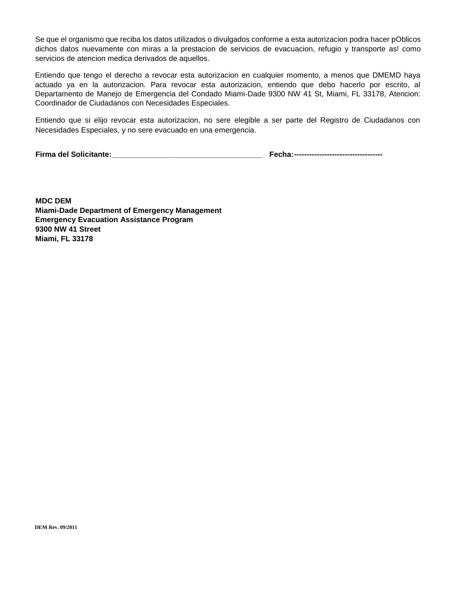Se que el organismo que reciba los datos utilizados o divulgados conforme a esta autorizacion podra hacer pOblicos dichos datos nuevamente con miras a la prestacion de servicios de evacuacion, refugio y transporte as! como servicios de atencion medica derivados de aquellos.

Entiendo que tengo el derecho a revocar esta autorizacion en cualquier momento, a menos que DMEMD haya actuado ya en la autorizacion. Para revocar esta autorizacion, entiendo que debo hacerlo por escrito, al Departamento de Manejo de Emergencia del Condado Miami-Dade 9300 NW 41 St, Miami, FL 33178, Atencion: Coordinador de Ciudadanos con Necesidades Especiales.

Entiendo que si elijo revocar esta autorizacion, no sere elegible a ser parte del Registro de Ciudadanos con Necesidades Especiales, y no sere evacuado en una emergencia.

**Firma del Solicitante:\_\_\_\_\_\_\_\_\_\_\_\_\_\_\_\_\_\_\_\_\_\_\_\_\_\_\_\_\_\_\_\_\_\_\_\_ Fecha:-----------------------------------**

**MDC DEM Miami-Dade Department of Emergency Management Emergency Evacuation Assistance Program 9300 NW 41 Street Miami, FL 33178**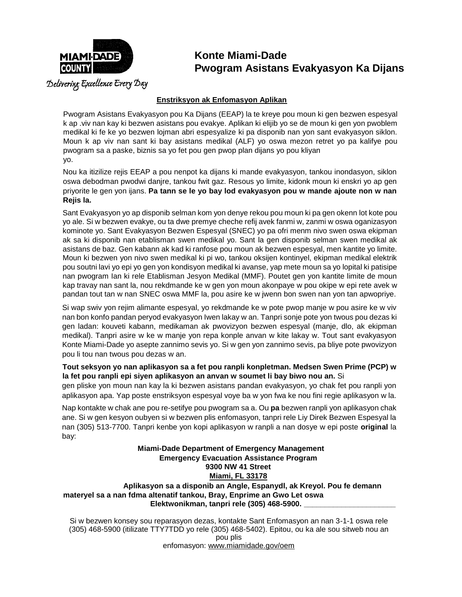

### **Konte Miami-Dade Pwogram Asistans Evakyasyon Ka Dijans**

Delivering Excellence Every Day

#### **Enstriksyon ak Enfomasyon Aplikan**

Pwogram Asistans Evakyasyon pou Ka Dijans (EEAP) la te kreye pou moun ki gen bezwen espesyal k ap .viv nan kay ki bezwen asistans pou evakye. Aplikan ki elijib yo se de moun ki gen yon pwoblem medikal ki fe ke yo bezwen lojman abri espesyalize ki pa disponib nan yon sant evakyasyon siklon. Moun k ap viv nan sant ki bay asistans medikal (ALF) yo oswa mezon retret yo pa kalifye pou pwogram sa a paske, biznis sa yo fet pou gen pwop plan dijans yo pou kliyan yo.

Nou ka itizilize rejis EEAP a pou nenpot ka dijans ki mande evakyasyon, tankou inondasyon, siklon oswa debodman pwodwi danjre, tankou fwit gaz. Resous yo limite, kidonk moun ki enskri yo ap gen priyorite le gen yon ijans. **Pa tann se le yo bay lod evakyasyon pou w mande ajoute non w nan Rejis la.**

Sant Evakyasyon yo ap disponib selman kom yon denye rekou pou moun ki pa gen okenn lot kote pou yo ale. Si w bezwen evakye, ou ta dwe premye cheche refij avek fanmi w, zanmi w oswa oganizasyon kominote yo. Sant Evakyasyon Bezwen Espesyal (SNEC) yo pa ofri menm nivo swen oswa ekipman ak sa ki disponib nan etablisman swen medikal yo. Sant la gen disponib selman swen medikal ak asistans de baz. Gen kabann ak kad ki ranfose pou moun ak bezwen espesyal, men kantite yo limite. Moun ki bezwen yon nivo swen medikal ki pi wo, tankou oksijen kontinyel, ekipman medikal elektrik pou soutni lavi yo epi yo gen yon kondisyon medikal ki avanse, yap mete moun sa yo lopital ki patisipe nan pwogram Ian ki rele Etablisman Jesyon Medikal (MMF). Poutet gen yon kantite limite de moun kap travay nan sant la, nou rekdmande ke w gen yon moun akonpaye w pou okipe w epi rete avek w pandan tout tan w nan SNEC oswa MMF la, pou asire ke w jwenn bon swen nan yon tan apwopriye.

Si wap swiv yon rejim alimante espesyal, yo rekdmande ke w pote pwop manje w pou asire ke w viv nan bon konfo pandan peryod evakyasyon Iwen lakay w an. Tanpri sonje pote yon twous pou dezas ki gen ladan: kouveti kabann, medikaman ak pwovizyon bezwen espesyal (manje, dlo, ak ekipman medikal). Tanpri asire w ke w manje yon repa konple anvan w kite lakay w. Tout sant evakyasyon Konte Miami-Dade yo asepte zannimo sevis yo. Si w gen yon zannimo sevis, pa bliye pote pwovizyon pou li tou nan twous pou dezas w an.

#### **Tout seksyon yo nan aplikasyon sa a fet pou ranpli konpletman. Medsen Swen Prime (PCP) w la fet pou ranpli epi siyen aplikasyon an anvan w soumet li bay biwo nou an.** Si

gen pliske yon moun nan kay la ki bezwen asistans pandan evakyasyon, yo chak fet pou ranpli yon aplikasyon apa. Yap poste enstriksyon espesyal voye ba w yon fwa ke nou fini regie aplikasyon w la.

Nap kontakte w chak ane pou re-setifye pou pwogram sa a. Ou **pa** bezwen ranpli yon aplikasyon chak ane. Si w gen kesyon oubyen si w bezwen plis enfomasyon, tanpri rele Liy Direk Bezwen Espesyal la nan (305) 513-7700. Tanpri kenbe yon kopi aplikasyon w ranpli a nan dosye w epi poste **original** la bay:

**Miami-Dade Department of Emergency Management Emergency Evacuation Assistance Program 9300 NW 41 Street Miami, FL 33178 Aplikasyon sa a disponib an Angle, Espanydl, ak Kreyol. Pou fe demann materyel sa a nan fdma altenatif tankou, Bray, Enprime an Gwo Let oswa Elektwonikman, tanpri rele (305) 468-5900. \_\_\_\_\_\_\_\_\_\_\_\_\_\_\_\_\_\_\_\_\_\_**

Si w bezwen konsey sou reparasyon dezas, kontakte Sant Enfomasyon an nan 3-1-1 oswa rele (305) 468-5900 (itilizate TTY7TDD yo rele (305) 468-5402). Epitou, ou ka ale sou sitweb nou an pou plis enfomasyon: [www.miamidade.gov/oem](http://www.miamidade.gov/oem)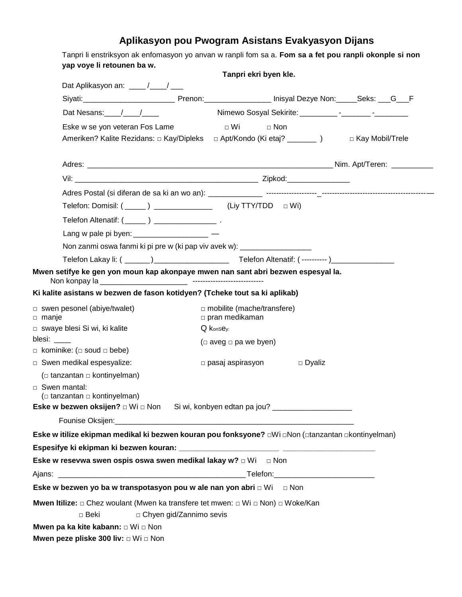### **Aplikasyon pou Pwogram Asistans Evakyasyon Dijans**

| yap voye li retounen ba w.                                                                                                                                                                                                                                                                                        |                           |                                   | Tanpri ekri byen kle. |               |  |
|-------------------------------------------------------------------------------------------------------------------------------------------------------------------------------------------------------------------------------------------------------------------------------------------------------------------|---------------------------|-----------------------------------|-----------------------|---------------|--|
| Dat Aplikasyon an: ____/___/___                                                                                                                                                                                                                                                                                   |                           |                                   |                       |               |  |
| Siyati: Summan Deckson Contains Premont Prenon: Contains 2011 Contains Units 2012 Deckye Non: Contains 2014 Pre                                                                                                                                                                                                   |                           |                                   |                       |               |  |
| Dat Nesans: $\frac{1}{2}$ $\frac{1}{2}$ $\frac{1}{2}$ $\frac{1}{2}$ $\frac{1}{2}$ $\frac{1}{2}$ $\frac{1}{2}$ $\frac{1}{2}$ $\frac{1}{2}$ $\frac{1}{2}$ $\frac{1}{2}$ $\frac{1}{2}$ $\frac{1}{2}$ $\frac{1}{2}$ $\frac{1}{2}$ $\frac{1}{2}$ $\frac{1}{2}$ $\frac{1}{2}$ $\frac{1}{2}$ $\frac{1}{2}$ $\frac{1}{2}$ |                           |                                   |                       |               |  |
| Eske w se yon veteran Fos Lame                                                                                                                                                                                                                                                                                    |                           | $\Box$ Wi                         | $\Box$ Non            |               |  |
| Ameriken? Kalite Rezidans: □ Kay/Dipleks □ Apt/Kondo (Ki etaj? ________) □ Kay Mobil/Trele                                                                                                                                                                                                                        |                           |                                   |                       |               |  |
|                                                                                                                                                                                                                                                                                                                   |                           |                                   |                       |               |  |
|                                                                                                                                                                                                                                                                                                                   |                           |                                   |                       |               |  |
|                                                                                                                                                                                                                                                                                                                   |                           |                                   |                       |               |  |
| Telefon: Domisil: (_____) _________________(Liy TTY/TDD = Wi)                                                                                                                                                                                                                                                     |                           |                                   |                       |               |  |
|                                                                                                                                                                                                                                                                                                                   |                           |                                   |                       |               |  |
| Lang w pale pi byen: _____________________ —                                                                                                                                                                                                                                                                      |                           |                                   |                       |               |  |
| Non zanmi oswa fanmi ki pi pre w (ki pap viv avek w): ____________________                                                                                                                                                                                                                                        |                           |                                   |                       |               |  |
|                                                                                                                                                                                                                                                                                                                   |                           |                                   |                       |               |  |
| Mwen setifye ke gen yon moun kap akonpaye mwen nan sant abri bezwen espesyal la.                                                                                                                                                                                                                                  |                           |                                   |                       |               |  |
| Ki kalite asistans w bezwen de fason kotidyen? (Tcheke tout sa ki aplikab)                                                                                                                                                                                                                                        |                           |                                   |                       |               |  |
| $\Box$ swen pesonel (abiye/twalet)                                                                                                                                                                                                                                                                                |                           | $\Box$ mobilite (mache/transfere) |                       |               |  |
| $\Box$ manje                                                                                                                                                                                                                                                                                                      |                           | $\Box$ pran medikaman             |                       |               |  |
| □ swaye blesi Si wi, ki kalite<br>blesi: $\_\_$                                                                                                                                                                                                                                                                   |                           | Q konsey:                         |                       |               |  |
| $\Box$ kominike: ( $\Box$ soud $\Box$ bebe)                                                                                                                                                                                                                                                                       |                           | ( $\Box$ aveg $\Box$ pa we byen)  |                       |               |  |
| Swen medikal espesyalize:                                                                                                                                                                                                                                                                                         |                           | $\Box$ pasaj aspirasyon           |                       | $\Box$ Dyaliz |  |
| ( $\Box$ tanzantan $\Box$ kontinyelman)                                                                                                                                                                                                                                                                           |                           |                                   |                       |               |  |
| □ Swen mantal:                                                                                                                                                                                                                                                                                                    |                           |                                   |                       |               |  |
| ( $\Box$ tanzantan $\Box$ kontinyelman)                                                                                                                                                                                                                                                                           |                           |                                   |                       |               |  |
| Eske w bezwen oksijen? □ Wi □ Non Si wi, konbyen edtan pa jou? _________________                                                                                                                                                                                                                                  |                           |                                   |                       |               |  |
|                                                                                                                                                                                                                                                                                                                   |                           |                                   |                       |               |  |
| Eske w itilize ekipman medikal ki bezwen kouran pou fonksyone? DWi DNon (Dtanzantan Dkontinyelman)                                                                                                                                                                                                                |                           |                                   |                       |               |  |
|                                                                                                                                                                                                                                                                                                                   |                           |                                   |                       |               |  |
| Eske w resevwa swen ospis oswa swen medikal lakay w? $\Box$ Wi $\Box$ Non                                                                                                                                                                                                                                         |                           |                                   |                       |               |  |
|                                                                                                                                                                                                                                                                                                                   |                           |                                   |                       |               |  |
| Eske w bezwen yo ba w transpotasyon pou w ale nan yon abri □ Wi □ Non                                                                                                                                                                                                                                             |                           |                                   |                       |               |  |
| <b>Mwen Itilize:</b> □ Chez woulant (Mwen ka transfere tet mwen: □ Wi □ Non) □ Woke/Kan                                                                                                                                                                                                                           |                           |                                   |                       |               |  |
| $\square$ Beki                                                                                                                                                                                                                                                                                                    | □ Chyen gid/Zannimo sevis |                                   |                       |               |  |
| Mwen pa ka kite kabann: □ Wi □ Non                                                                                                                                                                                                                                                                                |                           |                                   |                       |               |  |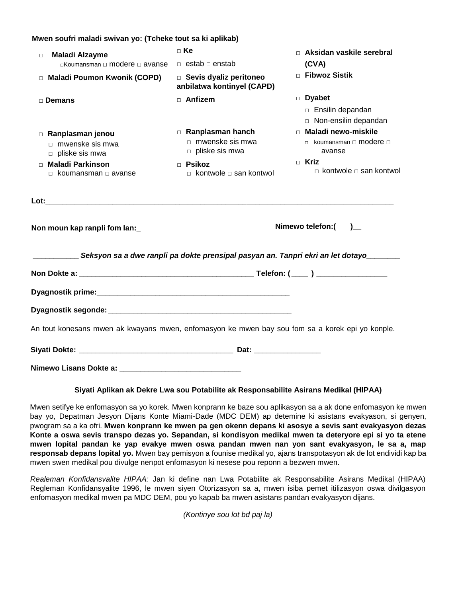#### **Mwen soufri maladi swivan yo: (Tcheke tout sa ki aplikab)**

| <b>Maladi Alzayme</b><br>$\Box$                                                                            | $\Box$ Ke                                                           | □ Aksidan vaskile serebral                                    |
|------------------------------------------------------------------------------------------------------------|---------------------------------------------------------------------|---------------------------------------------------------------|
| $\Box$ Koumansman $\Box$ modere $\Box$ avanse                                                              | $\Box$ estab $\Box$ enstab                                          | (CVA)                                                         |
| □ Maladi Poumon Kwonik (COPD)                                                                              | $\Box$ Sevis dyaliz peritoneo<br>anbilatwa kontinyel (CAPD)         | <b>D</b> Fibwoz Sistik                                        |
| □ Demans                                                                                                   | $\Box$ Anfizem                                                      | $\Box$ Dyabet<br>□ Ensilin depandan<br>□ Non-ensilin depandan |
| □ Ranplasman jenou<br>$\Box$ mwenske sis mwa<br>$\Box$ pliske sis mwa                                      | Ranplasman hanch<br>$\Box$ mwenske sis mwa<br>$\Box$ pliske sis mwa | □ Maladi newo-miskile<br>□ koumansman □ modere □<br>avanse    |
| <b>Maladi Parkinson</b><br>$\Box$ koumansman $\Box$ avanse                                                 | $\Box$ Psikoz<br>$\Box$ kontwole $\Box$ san kontwol                 | $\Box$ Kriz<br>$\Box$ kontwole $\Box$ san kontwol             |
|                                                                                                            |                                                                     |                                                               |
| Non moun kap ranpli fom lan:                                                                               |                                                                     | Nimewo telefon:()_                                            |
| __________________Seksyon sa a dwe ranpli pa dokte prensipal pasyan an. Tanpri ekri an let dotayo_________ |                                                                     |                                                               |
|                                                                                                            |                                                                     |                                                               |
|                                                                                                            |                                                                     |                                                               |
|                                                                                                            |                                                                     |                                                               |
| An tout konesans mwen ak kwayans mwen, enfomasyon ke mwen bay sou fom sa a korek epi yo konple.            |                                                                     |                                                               |
|                                                                                                            |                                                                     |                                                               |
|                                                                                                            |                                                                     |                                                               |

#### **Siyati Aplikan ak Dekre Lwa sou Potabilite ak Responsabilite Asirans Medikal (HIPAA)**

Mwen setifye ke enfomasyon sa yo korek. Mwen konprann ke baze sou aplikasyon sa a ak done enfomasyon ke mwen bay yo, Depatman Jesyon Dijans Konte Miami-Dade (MDC DEM) ap detemine ki asistans evakyason, si genyen, pwogram sa a ka ofri. **Mwen konprann ke mwen pa gen okenn depans ki asosye a sevis sant evakyasyon dezas Konte a oswa sevis transpo dezas yo. Sepandan, si kondisyon medikal mwen ta deteryore epi si yo ta etene mwen lopital pandan ke yap evakye mwen oswa pandan mwen nan yon sant evakyasyon, le sa a, map responsab depans lopital yo.** Mwen bay pemisyon a founise medikal yo, ajans transpotasyon ak de lot endividi kap ba mwen swen medikal pou divulge nenpot enfomasyon ki nesese pou reponn a bezwen mwen.

*Realeman Konfidansvalite HIPAA:* Jan ki define nan Lwa Potabilite ak Responsabilite Asirans Medikal (HIPAA) Regleman Konfidansyalite 1996, le mwen siyen Otorizasyon sa a, mwen isiba pemet itilizasyon oswa divilgasyon enfomasyon medikal mwen pa MDC DEM, pou yo kapab ba mwen asistans pandan evakyasyon dijans.

*(Kontinye sou lot bd paj la)*